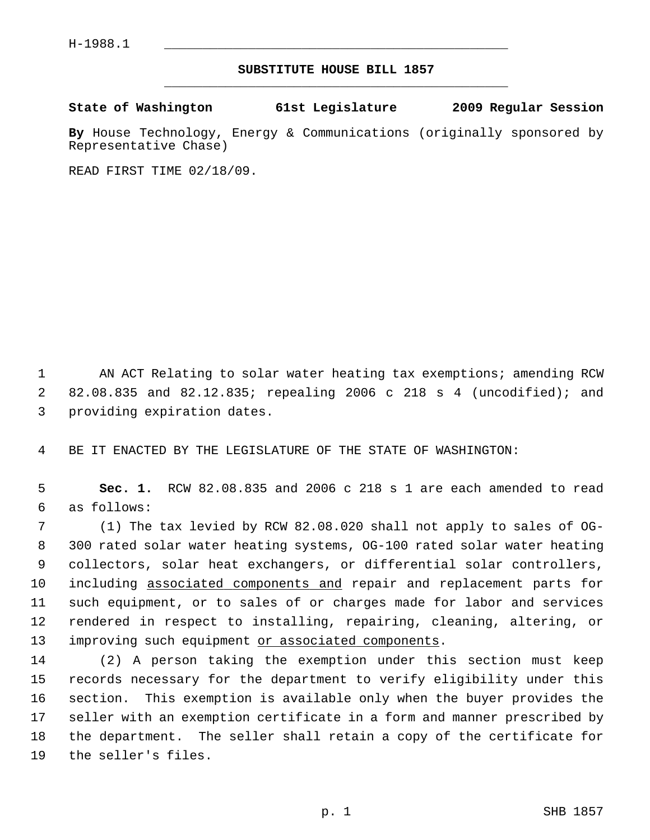## **SUBSTITUTE HOUSE BILL 1857** \_\_\_\_\_\_\_\_\_\_\_\_\_\_\_\_\_\_\_\_\_\_\_\_\_\_\_\_\_\_\_\_\_\_\_\_\_\_\_\_\_\_\_\_\_

## **State of Washington 61st Legislature 2009 Regular Session**

**By** House Technology, Energy & Communications (originally sponsored by Representative Chase)

READ FIRST TIME 02/18/09.

 1 AN ACT Relating to solar water heating tax exemptions; amending RCW 2 82.08.835 and 82.12.835; repealing 2006 c 218 s 4 (uncodified); and 3 providing expiration dates.

4 BE IT ENACTED BY THE LEGISLATURE OF THE STATE OF WASHINGTON:

 5 **Sec. 1.** RCW 82.08.835 and 2006 c 218 s 1 are each amended to read 6 as follows:

 7 (1) The tax levied by RCW 82.08.020 shall not apply to sales of OG- 8 300 rated solar water heating systems, OG-100 rated solar water heating 9 collectors, solar heat exchangers, or differential solar controllers, 10 including associated components and repair and replacement parts for 11 such equipment, or to sales of or charges made for labor and services 12 rendered in respect to installing, repairing, cleaning, altering, or 13 improving such equipment or associated components.

14 (2) A person taking the exemption under this section must keep 15 records necessary for the department to verify eligibility under this 16 section. This exemption is available only when the buyer provides the 17 seller with an exemption certificate in a form and manner prescribed by 18 the department. The seller shall retain a copy of the certificate for 19 the seller's files.